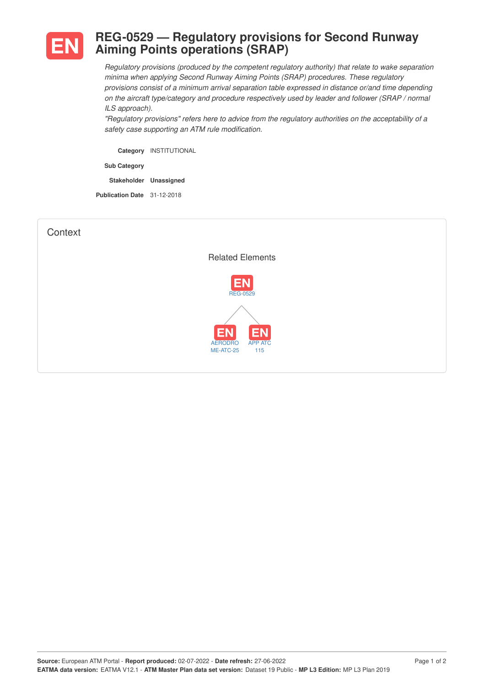

## **REG-0529 — Regulatory provisions for Second Runway Aiming Points operations (SRAP)**

*Regulatory provisions (produced by the competent regulatory authority) that relate to wake separation minima when applying Second Runway Aiming Points (SRAP) procedures. These regulatory provisions consist of a minimum arrival separation table expressed in distance or/and time depending on the aircraft type/category and procedure respectively used by leader and follower (SRAP / normal ILS approach).*

*"Regulatory provisions" refers here to advice from the regulatory authorities on the acceptability of a safety case supporting an ATM rule modification.*

**Category** INSTITUTIONAL

**Sub Category**

**Stakeholder Unassigned**

**Publication Date** 31-12-2018